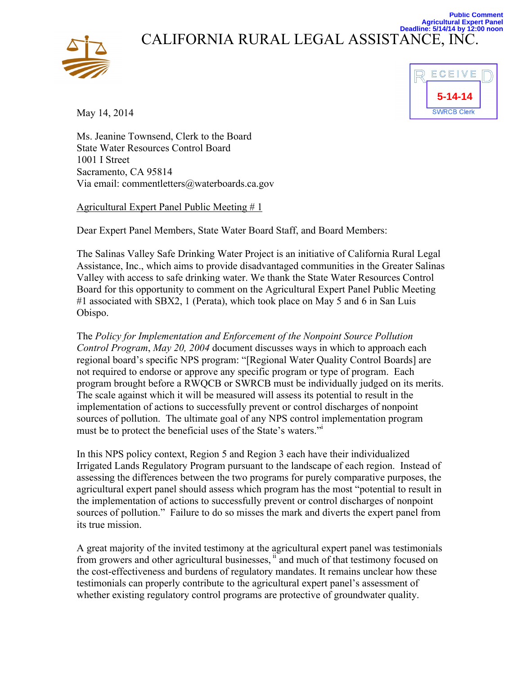



**Public Comment**

May 14, 2014

Ms. Jeanine Townsend, Clerk to the Board State Water Resources Control Board 1001 I Street Sacramento, CA 95814 Via email: commentletters@waterboards.ca.gov

Agricultural Expert Panel Public Meeting # 1

Dear Expert Panel Members, State Water Board Staff, and Board Members:

The Salinas Valley Safe Drinking Water Project is an initiative of California Rural Legal Assistance, Inc., which aims to provide disadvantaged communities in the Greater Salinas Valley with access to safe drinking water. We thank the State Water Resources Control Board for this opportunity to comment on the Agricultural Expert Panel Public Meeting #1 associated with SBX2, 1 (Perata), which took place on May 5 and 6 in San Luis Obispo.

The *Policy for Implementation and Enforcement of the Nonpoint Source Pollution Control Program*, *May 20, 2004* document discusses ways in which to approach each regional board's specific NPS program: "[Regional Water Quality Control Boards] are not required to endorse or approve any specific program or type of program. Each program brought before a RWQCB or SWRCB must be individually judged on its merits. The scale against which it will be measured will assess its potential to result in the implementation of actions to successfully prevent or control discharges of nonpoint sources of pollution. The ultimate goal of any NPS control implementation program must be to protect the beneficial uses of the State's waters."i

In this NPS policy context, Region 5 and Region 3 each have their individualized Irrigated Lands Regulatory Program pursuant to the landscape of each region. Instead of assessing the differences between the two programs for purely comparative purposes, the agricultural expert panel should assess which program has the most "potential to result in the implementation of actions to successfully prevent or control discharges of nonpoint sources of pollution." Failure to do so misses the mark and diverts the expert panel from its true mission.

A great majority of the invited testimony at the agricultural expert panel was testimonials from growers and other agricultural businesses, if and much of that testimony focused on the cost-effectiveness and burdens of regulatory mandates. It remains unclear how these testimonials can properly contribute to the agricultural expert panel's assessment of whether existing regulatory control programs are protective of groundwater quality.